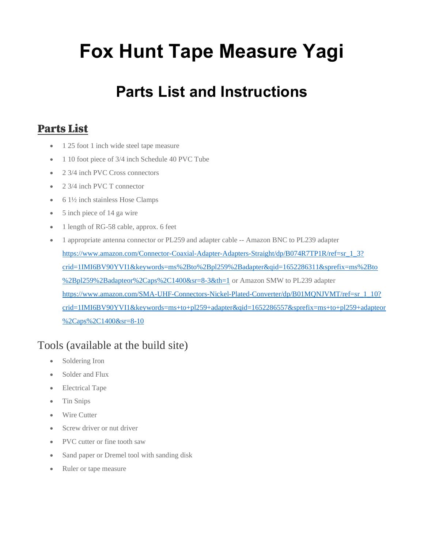# Fox Hunt Tape Measure Yagi

# Parts List and Instructions

#### Parts List

- 1 25 foot 1 inch wide steel tape measure
- 1 10 foot piece of 3/4 inch Schedule 40 PVC Tube
- 2 3/4 inch PVC Cross connectors
- 2 3/4 inch PVC T connector
- 6.1½ inch stainless Hose Clamps
- 5 inch piece of 14 ga wire
- 1 length of RG-58 cable, approx. 6 feet
- 1 appropriate antenna connector or PL259 and adapter cable -- Amazon BNC to PL239 adapter https://www.amazon.com/Connector-Coaxial-Adapter-Adapters-Straight/dp/B074R7TP1R/ref=sr\_1\_3? crid=1IMI6BV90YVI1&keywords=ms%2Bto%2Bpl259%2Badapter&qid=1652286311&sprefix=ms%2Bto %2Bpl259%2Badapteor%2Caps%2C1400&sr=8-3&th=1 or Amazon SMW to PL239 adapter https://www.amazon.com/SMA-UHF-Connectors-Nickel-Plated-Converter/dp/B01MONJVMT/ref=sr\_1\_10? crid=1IMI6BV90YVI1&keywords=ms+to+pl259+adapter&qid=1652286557&sprefix=ms+to+pl259+adapteor %2Caps%2C1400&sr=8-10

# Tools (available at the build site)

- Soldering Iron
- Solder and Flux
- Electrical Tape
- Tin Snips
- Wire Cutter
- Screw driver or nut driver
- PVC cutter or fine tooth saw
- Sand paper or Dremel tool with sanding disk
- Ruler or tape measure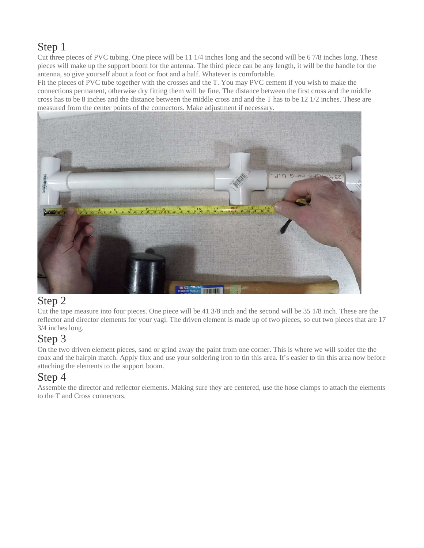#### Step 1

Cut three pieces of PVC tubing. One piece will be 11 1/4 inches long and the second will be 6 7/8 inches long. These pieces will make up the support boom for the antenna. The third piece can be any length, it will be the handle for the antenna, so give yourself about a foot or foot and a half. Whatever is comfortable.

Fit the pieces of PVC tube together with the crosses and the T. You may PVC cement if you wish to make the connections permanent, otherwise dry fitting them will be fine. The distance between the first cross and the middle cross has to be 8 inches and the distance between the middle cross and and the T has to be 12 1/2 inches. These are measured from the center points of the connectors. Make adjustment if necessary.



#### Step 2

Cut the tape measure into four pieces. One piece will be 41 3/8 inch and the second will be 35 1/8 inch. These are the reflector and director elements for your yagi. The driven element is made up of two pieces, so cut two pieces that are 17 3/4 inches long.

# Step 3

On the two driven element pieces, sand or grind away the paint from one corner. This is where we will solder the the coax and the hairpin match. Apply flux and use your soldering iron to tin this area. It's easier to tin this area now before attaching the elements to the support boom.

# Step 4

Assemble the director and reflector elements. Making sure they are centered, use the hose clamps to attach the elements to the T and Cross connectors.